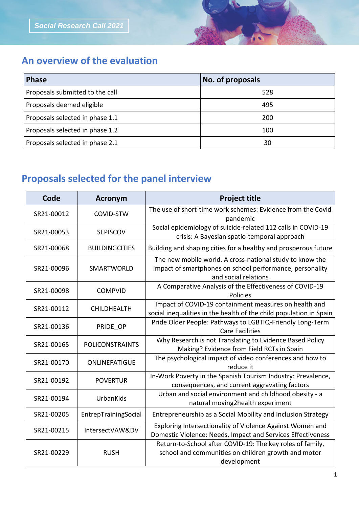## **An overview of the evaluation**

| <b>Phase</b>                    | No. of proposals |
|---------------------------------|------------------|
| Proposals submitted to the call | 528              |
| Proposals deemed eligible       | 495              |
| Proposals selected in phase 1.1 | 200              |
| Proposals selected in phase 1.2 | 100              |
| Proposals selected in phase 2.1 | 30               |

## **Proposals selected for the panel interview**

| Code       | <b>Acronym</b>         | <b>Project title</b>                                                                                                                         |
|------------|------------------------|----------------------------------------------------------------------------------------------------------------------------------------------|
| SR21-00012 | COVID-STW              | The use of short-time work schemes: Evidence from the Covid<br>pandemic                                                                      |
| SR21-00053 | <b>SEPISCOV</b>        | Social epidemiology of suicide-related 112 calls in COVID-19<br>crisis: A Bayesian spatio-temporal approach                                  |
| SR21-00068 | <b>BUILDINGCITIES</b>  | Building and shaping cities for a healthy and prosperous future                                                                              |
| SR21-00096 | <b>SMARTWORLD</b>      | The new mobile world. A cross-national study to know the<br>impact of smartphones on school performance, personality<br>and social relations |
| SR21-00098 | <b>COMPVID</b>         | A Comparative Analysis of the Effectiveness of COVID-19<br>Policies                                                                          |
| SR21-00112 | <b>CHILDHEALTH</b>     | Impact of COVID-19 containment measures on health and<br>social inequalities in the health of the child population in Spain                  |
| SR21-00136 | PRIDE OP               | Pride Older People: Pathways to LGBTIQ-Friendly Long-Term<br><b>Care Facilities</b>                                                          |
| SR21-00165 | <b>POLICONSTRAINTS</b> | Why Research is not Translating to Evidence Based Policy<br>Making? Evidence from Field RCTs in Spain                                        |
| SR21-00170 | ONLINEFATIGUE          | The psychological impact of video conferences and how to<br>reduce it                                                                        |
| SR21-00192 | <b>POVERTUR</b>        | In-Work Poverty in the Spanish Tourism Industry: Prevalence,<br>consequences, and current aggravating factors                                |
| SR21-00194 | UrbanKids              | Urban and social environment and childhood obesity - a<br>natural moving2health experiment                                                   |
| SR21-00205 | EntrepTrainingSocial   | Entrepreneurship as a Social Mobility and Inclusion Strategy                                                                                 |
| SR21-00215 | IntersectVAW&DV        | Exploring Intersectionality of Violence Against Women and<br>Domestic Violence: Needs, Impact and Services Effectiveness                     |
| SR21-00229 | <b>RUSH</b>            | Return-to-School after COVID-19: The key roles of family,<br>school and communities on children growth and motor<br>development              |